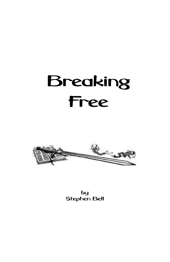# Breaking Free



by Stephen Bell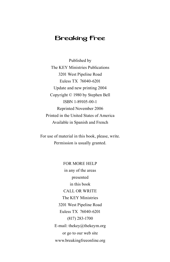# Breaking Free

Published by The KEY Ministries Publications 3201 West Pipeline Road Euless TX 76040-6201 Update and new printing 2004 Copyright © 1980 by Stephen Bell ISBN 1-89105-00-1 Reprinted November 2006 Printed in the United States of America Available in Spanish and French

For use of material in this book, please, write. Permission is usually granted.

> FOR MORE HELP in any of the areas presented in this book CALL OR WRITE The KEY Ministries 3201 West Pipeline Road Euless TX 76040-6201 (817) 283-1700 E-mail: thekey@thekeym.org or go to our web site www.breakingfreeonline.org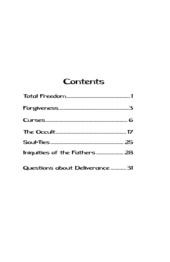# **Contents**

| Questions about Deliverance  31 |
|---------------------------------|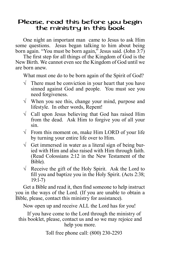# Please, read this before you begin the ministry in this book

One night an important man came to Jesus to ask Him some questions. Jesus began talking to him about being born again. "You must be born again," Jesus said. (John  $3:7$ )

The first step for all things of the Kingdom of God is the New Birth. We cannot even see the Kingdom of God until we are born anew.

What must one do to be born again of the Spirit of God?

- $\sqrt{\phantom{a}}$  There must be conviction in your heart that you have sinned against God and people. You must see you need forgiveness.
- $\sqrt{\ }$  When you see this, change your mind, purpose and lifestyle. In other words, Repent!
- $\sqrt{\phantom{a}}$  Call upon Jesus believing that God has raised Him from the dead. Ask Him to forgive you of all your sin.
- $\sqrt{\ }$  From this moment on, make Him LORD of your life by turning your entire life over to Him.
- $\sqrt{\phantom{a}}$  Get immersed in water as a literal sign of being buried with Him and also raised with Him through faith. (Read Colossians 2:12 in the New Testament of the Bible).
- $\sqrt{\phantom{a}}$  Receive the gift of the Holy Spirit. Ask the Lord to fill you and baptize you in the Holy Spirit. (Acts 2:38; 19:1-7)

Get a Bible and read it, then find someone to help instruct you in the ways of the Lord. (If you are unable to obtain a Bible, please, contact this ministry for assistance).

Now open up and receive ALL the Lord has for you!

If you have come to the Lord through the ministry of this booklet, please, contact us and so we may rejoice and help you more.

Toll free phone call: (800) 230-2293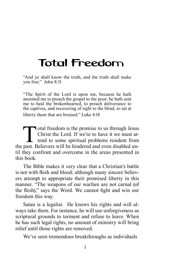# <span id="page-4-0"></span>Total Freedom

"And ye shall know the truth, and the truth shall make you free." John 8:31

"The Spirit of the Lord is upon me, because he hath anointed me to preach the gospel to the poor; he hath sent me to heal the brokenhearted, to preach deliverance to the captives, and recovering of sight to the blind, to set at liberty them that are bruised." Luke 4:18

Total freedom is the promise to us through Jesus<br>Christ the Lord. If we're to have it we must at-<br>tend to some spiritual problems resident from<br>nast Believers will be hindered and even disabled un-Christ the Lord. If we're to have it we must attend to some spiritual problems resident from the past. Believers will be hindered and even disabled until they confront and overcome in the areas presented in this book.

The Bible makes it very clear that a Christian's battle is not with flesh and blood; although many sincere believers attempt to appropriate their promised liberty in this manner. "The weapons of our warfare are not carnal (of the flesh)," says the Word. We cannot fight and win our freedom this way.

Satan is a legalist. He knows his rights and will always take them. For instance, he will use unforgiveness as scriptural grounds to torment and refuse to leave. When he has such legal rights, no amount of ministry will bring relief until those rights are removed.

We've seen tremendous breakthroughs as individuals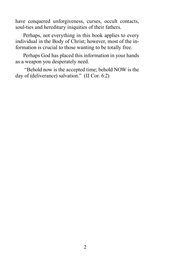have conquered unforgiveness, curses, occult contacts, soul-ties and hereditary iniquities of their fathers.

Perhaps, not everything in this book applies to every individual in the Body of Christ; however, most of the information is crucial to those wanting to be totally free.

Perhaps God has placed this information in your hands as a weapon you desperately need.

 "Behold now is the accepted time; behold NOW is the day of (deliverance) salvation." (II Cor. 6:2)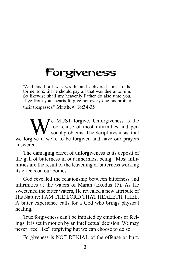# <span id="page-6-0"></span>Forgiveness

"And his Lord was wroth, and delivered him to the tormentors, till he should pay all that was due unto him. So likewise shall my heavenly Father do also unto you, if ye from your hearts forgive not every one his brother their trespasses." Matthew 18:34-35

We MUST forgive. Unforgiveness is the<br>root cause of most infirmities and per-<br>sonal problems. The Scriptures insist that<br>forgive if we're to be forgiven and have our prayers root cause of most infirmities and personal problems. The Scriptures insist that we forgive if we're to be forgiven and have our prayers answered.

The damaging effect of unforgiveness is its deposit of the gall of bitterness in our innermost being. Most infirmities are the result of the leavening of bitterness working its effects on our bodies.

God revealed the relationship between bitterness and infirmities at the waters of Marah (Exodus 15). As He sweetened the bitter waters, He revealed a new attribute of His Nature: I AM THE LORD THAT HEALETH THEE. A bitter experience calls for a God who brings physical healing.

True forgiveness can't be initiated by emotions or feelings. It is set in motion by an intellectual decision. We may never "feel like" forgiving but we can choose to do so.

Forgiveness is NOT DENIAL of the offense or hurt.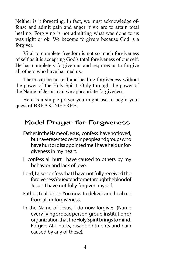Neither is it forgetting. In fact, we must acknowledge offense and admit pain and anger if we are to attain total healing. Forgiving is not admitting what was done to us was right or ok. We become forgivers because God is a forgiver.

Vital to complete freedom is not so much forgiveness of self as it is accepting God's total forgiveness of our self. He has completely forgiven us and requires us to forgive all others who have harmed us.

There can be no real and healing forgiveness without the power of the Holy Spirit. Only through the power of the Name of Jesus, can we appropriate forgiveness.

Here is a simple prayer you might use to begin your quest of BREAKING FREE:

# Model Prayer for Forgiveness

- Father, in the Name of Jesus, I confess I have not loved, but have resented certain people and groups who have hurt or disappointed me. I have held unforgiveness in my heart.
- I confess all hurt I have caused to others by my behavior and lack of love.
- Lord, I also confess that I have not fully received the forgiveness You extend to me through the blood of Jesus. I have not fully forgiven myself.
- Father, I call upon You now to deliver and heal me from all unforgiveness.
- In the Name of Jesus, I do now forgive: (Name every living or dead person, group, institution or organization that the Holy Spirit brings to mind. Forgive ALL hurts, disappointments and pain caused by any of these).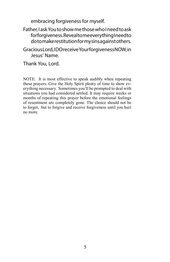embracing forgiveness for myself.

#### Father, I ask You to show me those who I need to ask forforgiveness. Reveal to me every thing I need to do to make restitution for my sins against others.

Gracious Lord, I DO receive Your forgiveness NOW, in Jesus' Name.

Thank You, Lord.

NOTE: It is most effective to speak audibly when repeating these prayers. Give the Holy Spirit plenty of time to show everything necessary. Sometimes you'll be prompted to deal with situations you had considered settled. It may require weeks or months of repeating this prayer before the emotional feelings of resentment are completely gone. The choice should not be to forget, but to forgive and receive forgiveness until you hurt no more.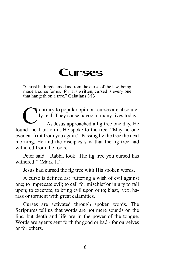# Curses

<span id="page-9-0"></span>"Christ hath redeemed us from the curse of the law, being made a curse for us: for it is written, cursed is every one that hangeth on a tree." Galatians 3:13

Outrary to popular opinion, curses are absolute-<br>ly real. They cause havoc in many lives today.<br>As Jesus approached a fig tree one day, He ly real. They cause havoc in many lives today.

As Jesus approached a fig tree one day, He found no fruit on it. He spoke to the tree, "May no one ever eat fruit from you again." Passing by the tree the next morning, He and the disciples saw that the fig tree had withered from the roots.

Peter said: "Rabbi, look! The fig tree you cursed has withered!" (Mark 11).

Jesus had cursed the fig tree with His spoken words.

A curse is defined as: "uttering a wish of evil against one; to imprecate evil; to call for mischief or injury to fall upon; to execrate, to bring evil upon or to; blast, vex, harass or torment with great calamities.

Curses are activated through spoken words. The Scriptures tell us that words are not mere sounds on the lips, but death and life are in the power of the tongue. Words are agents sent forth for good or bad - for ourselves or for others.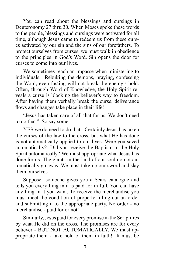You can read about the blessings and cursings in Deuteronomy 27 thru 30. When Moses spoke these words to the people, blessings and cursings were activated for all time, although Jesus came to redeem us from these curses activated by our sin and the sins of our forefathers. To protect ourselves from curses, we must walk in obedience to the principles in God's Word. Sin opens the door for curses to come into our lives.

We sometimes reach an impasse when ministering to individuals. Rebuking the demons, praying, confessing the Word, even fasting will not break the enemy's hold. Often, through Word of Knowledge, the Holy Spirit reveals a curse is blocking the believer's way to freedom. After having them verbally break the curse, deliverance flows and changes take place in their life!

"Jesus has taken care of all that for us. We don't need to do that." So say some.

YES we do need to do that! Certainly Jesus has taken the curses of the law to the cross, but what He has done is not automatically applied to our lives. Were you saved automatically? Did you receive the Baptism in the Holy Spirit automatically? We must appropriate what Jesus has done for us. The giants in the land of our soul do not automatically go away. We must take-up our sword and slay them ourselves.

Suppose someone gives you a Sears catalogue and tells you everything in it is paid for in full. You can have anything in it you want. To receive the merchandise you must meet the condition of properly filling-out an order and submitting it to the appropriate party. No order - no merchandise - paid for or not!

Similarly, Jesus paid for every promise in the Scriptures by what He did on the cross. The promises are for every believer - BUT NOT AUTOMATICALLY. We must appropriate them - take hold of them in faith! It must be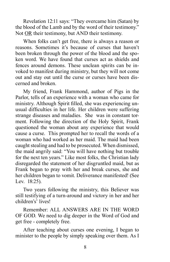Revelation 12:11 says: "They overcame him (Satan) by the blood of the Lamb and by the word of their testimony." Not OR their testimony, but AND their testimony.

When folks can't get free, there is always a reason or reasons. Sometimes it's because of curses that haven't been broken through the power of the blood and the spoken word. We have found that curses act as shields and fences around demons. These unclean spirits can be invoked to manifest during ministry, but they will not come out and stay out until the curse or curses have been discerned and broken.

My friend, Frank Hammond, author of Pigs in the Parlor, tells of an experience with a woman who came for ministry. Although Spirit filled, she was experiencing unusual difficulties in her life. Her children were suffering strange diseases and maladies. She was in constant torment. Following the direction of the Holy Spirit, Frank questioned the woman about any experience that would cause a curse. This prompted her to recall the words of a woman who had worked as her maid. The maid had been caught stealing and had to be prosecuted. When dismissed, the maid angrily said: "You will have nothing but trouble for the next ten years." Like most folks, the Christian lady disregarded the statement of her disgruntled maid, but as Frank began to pray with her and break curses, she and her children began to vomit. Deliverance manifested! (See Lev. 18:25).

Two years following the ministry, this Believer was still testifying of a turn-around and victory in her and her children's' lives!

Remember: ALL ANSWERS ARE IN THE WORD OF GOD. We need to dig deeper in the Word of God and get free - completely free.

After teaching about curses one evening, I began to minister to the people by simply speaking over them. As I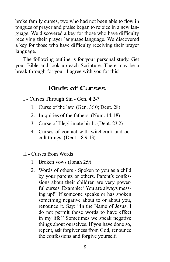broke family curses, two who had not been able to flow in tongues of prayer and praise began to rejoice in a new language. We discovered a key for those who have difficulty receiving their prayer language.language. We discovered a key for those who have difficulty receiving their prayer language.

The following outline is for your personal study. Get your Bible and look up each Scripture. There may be a break-through for you! I agree with you for this!

# Kinds of Curses

I - Curses Through Sin - Gen. 4:2-7

- 1. Curse of the law. (Gen. 3:10; Deut. 28)
- 2. Iniquities of the fathers. (Num. 14.:18)
- 3. Curse of Illegitimate birth. (Deut. 23:2)
- 4. Curses of contact with witchcraft and occult things. (Deut. 18:9-13)
- II Curses from Words
	- 1. Broken vows (Jonah 2:9)
	- 2. Words of others Spoken to you as a child by your parents or others. Parent's confessions about their children are very powerful curses. Example: "You are always messing up!" If someone speaks or has spoken something negative about to or about you, renounce it. Say: "In the Name of Jesus, I do not permit those words to have effect in my life." Sometimes we speak negative things about ourselves. If you have done so, repent, ask forgiveness from God, renounce the confessions and forgive yourself.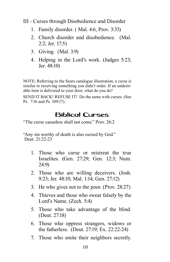III - Curses through Disobedience and Disorder

- 1. Family disorder. ( Mal. 4:6, Prov. 3:33)
- 2. Church disorder and disobedience. (Mal. 2:2; Jer. 17:5)
- 3. Giving. (Mal. 3:9)
- 4. Helping in the Lord's work. (Judges 5:23; Jer. 48:10)

NOTE; Referring to the Sears catalogue illustration, a curse is similar to receiving something you didn't order. If an undesirable item is delivered to your door, what do you do?

SEND IT BACK! REFUSE IT! Do the same with curses. (See Ps. 7:16 and Ps. 109:17).

# Biblical Curses

"The curse causeless shall not come." Prov. 26:2

"Any sin worthy of death is also cursed by God." Deut. 21:22-23

- 1. Those who curse or mistreat the true Israelites. (Gen. 27:29; Gen. 12:3; Num. 24:9)
- 2. Those who are willing deceivers. (Josh. 9:23; Jer. 48:10; Mal. 1:14; Gen. 27:12)
- 3. He who gives not to the poor. (Prov. 28:27)
- 4. Thieves and those who swear falsely by the Lord's Name. (Zech. 5:4)
- 5. Those who take advantage of the blind. (Deut. 27:18)
- 6. Those who oppress strangers, widows or the fatherless. (Deut. 27:19; Ex. 22:22-24)
- 7. Those who smite their neighbors secretly.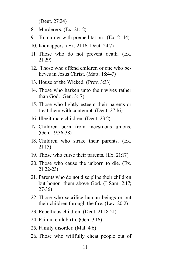(Deut. 27:24)

- 8. Murderers. (Ex. 21:12)
- 9. To murder with premeditation. (Ex. 21:14)
- 10. Kidnappers. (Ex. 21:16; Deut. 24:7)
- 11. Those who do not prevent death. (Ex. 21:29)
- 12. Those who offend children or one who believes in Jesus Christ. (Matt. 18:4-7)
- 13. House of the Wicked. (Prov. 3:33)
- 14. Those who harken unto their wives rather than God. Gen. 3:17)
- 15. Those who lightly esteem their parents or treat them with contempt. (Deut. 27:16)
- 16. Illegitimate children. (Deut. 23:2)
- 17. Children born from incestuous unions. (Gen. 19:36-38)
- 18. Children who strike their parents. (Ex. 21:15)
- 19. Those who curse their parents. (Ex. 21:17)
- 20. Those who cause the unborn to die. (Ex. 21:22-23)
- 21. Parents who do not discipline their children but honor them above God. (I Sam. 2:17; 27-36)
- 22. Those who sacrifice human beings or put their children through the fire. (Lev. 20:2)
- 23. Rebellious children. (Deut. 21:18-21)
- 24. Pain in childbirth. (Gen. 3:16)
- 25. Family disorder. (Mal. 4:6)
- 26. Those who willfully cheat people out of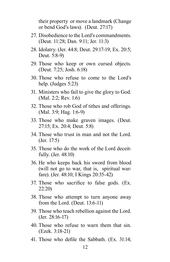their property or move a landmark (Change or bend God's laws). (Deut. 27:17)

- 27. Disobedience to the Lord's commandments. (Deut. 11:28; Dan. 9:11; Jer. 11:3)
- 28. Idolatry. (Jer. 44:8; Deut. 29:17-19; Ex. 20:5; Deut. 5:8-9)
- 29. Those who keep or own cursed objects. (Deut. 7:25; Josh. 6:18)
- 30. Those who refuse to come to the Lord's help. (Judges 5:23)
- 31. Ministers who fail to give the glory to God. (Mal. 2:2; Rev. 1:6)
- 32. Those who rob God of tithes and offerings. (Mal. 3:9; Hag. 1:6-9)
- 33. Those who make graven images. (Deut. 27:15; Ex. 20:4; Deut. 5:8)
- 34. Those who trust in man and not the Lord. (Jer. 17:5)
- 35. Those who do the work of the Lord deceitfully. (Jer. 48:10)
- 36. He who keeps back his sword from blood (will not go to war, that is, spiritual warfare). (Jer. 48:10; I Kings 20:35-42)
- 37. Those who sacrifice to false gods. (Ex. 22:20)
- 38. Those who attempt to turn anyone away from the Lord. (Deut. 13:6-11)
- 39. Those who teach rebellion against the Lord. (Jer. 28:16-17)
- 40. Those who refuse to warn them that sin. (Ezek. 3:18-21)
- 41. Those who defile the Sabbath. (Ex. 31:14;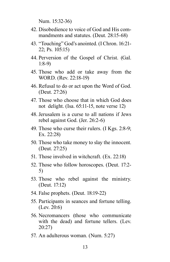Num. 15:32-36)

- 42. Disobedience to voice of God and His commandments and statutes. (Deut. 28:15-68)
- 43. "Touching" God's anointed. (I Chron. 16:21- 22; Ps. 105:15)
- 44. Perversion of the Gospel of Christ. (Gal. 1:8-9)
- 45. Those who add or take away from the WORD. (Rev. 22:18-19)
- 46. Refusal to do or act upon the Word of God. (Deut. 27:26)
- 47. Those who choose that in which God does not delight. (Isa. 65:11-15, note verse 12)
- 48. Jerusalem is a curse to all nations if Jews rebel against God. (Jer. 26:2-6)
- 49. Those who curse their rulers. (I Kgs. 2:8-9; Ex. 22:28)
- 50. Those who take money to slay the innocent. (Deut. 27:25)
- 51. Those involved in witchcraft. (Ex. 22:18)
- 52. Those who follow horoscopes. (Deut. 17:2- 5)
- 53. Those who rebel against the ministry. (Deut. 17:12)
- 54. False prophets. (Deut. 18:19-22)
- 55. Participants in seances and fortune telling. (Lev. 20:6)
- 56. Necromancers (those who communicate with the dead) and fortune tellers. (Lev. 20:27)
- 57. An adulterous woman. (Num. 5:27)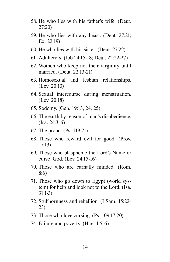- 58. He who lies with his father's wife. (Deut. 27:20)
- 59. He who lies with any beast. (Deut. 27:21; Ex. 22:19)
- 60. He who lies with his sister. (Deut. 27:22)
- 61. Adulterers. (Job 24:15-18; Deut. 22:22-27)
- 62. Women who keep not their virginity until married. (Deut. 22:13-21)
- 63. Homosexual and lesbian relationships. (Lev. 20:13)
- 64. Sexual intercourse during menstruation. (Lev. 20:18)
- 65. Sodomy. (Gen. 19:13, 24, 25)
- 66. The earth by reason of man's disobedience. (Isa. 24:3-6)
- 67. The proud. (Ps. 119:21)
- 68. Those who reward evil for good. (Prov. 17:13)
- 69. Those who blaspheme the Lord's Name or curse God. (Lev. 24:15-16)
- 70. Those who are carnally minded. (Rom. 8:6)
- 71. Those who go down to Egypt (world system) for help and look not to the Lord. (Isa. 31:1-3)
- 72. Stubbornness and rebellion. (I Sam. 15:22- 23)
- 73. Those who love cursing. (Ps. 109:17-20)
- 74. Failure and poverty. (Hag. 1:5-6)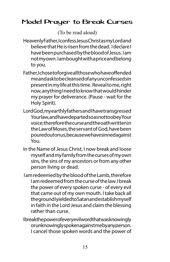# Model Prayer to Break Curses

(To be read aloud)

- Heavenly Father, I confess Jesus Christ as my Lord and believe that He is risen from the dead. I declare I have been purchased by the blood of Jesus. I am not my own. I am bought with a price and belong to you.
- Father, I chose to forgive all those who have offended me and ask to be cleansed of any unconfessed sin present in my life at this time. Reveal to me, right now, anything I need to know that would hinder my prayer for deliverance. (Pause - wait for the Holy Spirit).
- Lord God, my earthly fathers and I have transgressed Yourlaw, and have departed so as not too bey Your voice; therefore the curse and the oath written in the Law of Moses, the servant of God, have been poured out on us, because we have sinned against You.
- In the Name of Jesus Christ, I now break and loose myself and my family from the curses of my own sins, the sins of my ancestors or from any other person living or dead.
- I am redeemed by the blood of the Lamb, therefore I am redeemed from the curse of the law. I break the power of every spoken curse - of every evil that came out of my own mouth. I take back all the ground I yielded to Satan and establish myself in faith in the Lord Jesus and claim the blessing rather than curse.
- Ibreak the power of every evil word that was knowingly or unknowingly spoken against me by any person. I cancel those spoken words and the power of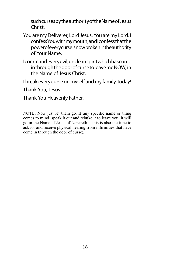such curses by the authority of the Name of Jesus Christ.

- You are my Deliverer, Lord Jesus. You are my Lord. I confess You with my mouth, and I confess that the power of every curse is now broken in the authority of Your Name.
- I command every evil, unclean spirit which has come in through the door of curse to leave me NOW, in the Name of Jesus Christ.

I break every curse on myself and my family, today!

Thank You, Jesus.

Thank You Heavenly Father.

NOTE; Now just let them go. If any specific name or thing comes to mind, speak it out and rebuke it to leave you. It will go in the Name of Jesus of Nazareth. This is also the time to ask for and receive physical healing from infirmities that have come in through the door of curse).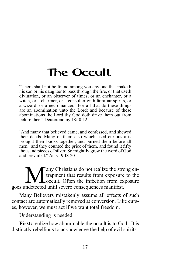# <span id="page-20-0"></span>The Occult

"There shall not be found among you any one that maketh his son or his daughter to pass through the fire, or that useth divination, or an observer of times, or an enchanter, or a witch, or a charmer, or a consulter with familiar spirits, or a wizard, or a necromancer. For all that do these things are an abomination unto the Lord: and because of these abominations the Lord thy God doth drive them out from before thee." Deuteronomy 18:10-12

"And many that believed came, and confessed, and shewed their deeds. Many of them also which used curious arts brought their books together, and burned them before all men: and they counted the price of them, and found it fifty thousand pieces of silver. So mightily grew the word of God and prevailed." Acts 19:18-20

Many Christians do not realize the strong en-<br>trapment that results from exposure to the<br>occult. Often the infection from exposure<br>s undetected until severe consequences manifest trapment that results from exposure to the occult. Often the infection from exposure goes undetected until severe consequences manifest.

Many Believers mistakenly assume all effects of such contact are automatically removed at conversion. Like curses, however, we must act if we want total freedom.

Understanding is needed:

**First:** realize how abominable the occult is to God. It is distinctly rebellious to acknowledge the help of evil spirits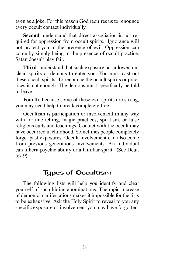even as a joke. For this reason God requires us to renounce every occult contact individually.

**Second**: understand that direct association is not required for oppression from occult spirits. Ignorance will not protect you in the presence of evil. Oppression can come by simply being in the presence of occult practice. Satan doesn't play fair.

**Third**: understand that such exposure has allowed unclean spirits or demons to enter you. You must cast out these occult spirits. To renounce the occult spirits or practices is not enough. The demons must specifically be told to leave.

**Fourth**: because some of these evil spirits are strong, you may need help to break completely free.

Occultism is participation or involvement in any way with fortune telling, magic practices, spiritism, or false religious cults and teachings. Contact with the occult may have occurred in childhood. Sometimes people completely forget past exposures. Occult involvement can also come from previous generations involvements. An individual can inherit psychic ability or a familiar spirit. (See Deut. 5:7-9)

# Types of Occultism

The following lists will help you identify and clear yourself of such hiding abominations. The rapid increase of demonic manifestations makes it impossible for the lists to be exhaustive. Ask the Holy Spirit to reveal to you any specific exposure or involvement you may have forgotten.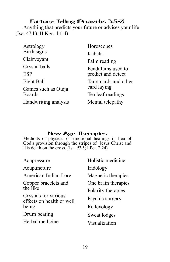# Fortune Telling (Proverbs 3:5-7)

Anything that predicts your future or advises your life (Isa. 47:13; II Kgs. 1:1-4)

| Astrology                            | Horoscopes                              |
|--------------------------------------|-----------------------------------------|
| Birth signs                          | Kabala                                  |
| Clairvoyant                          | Palm reading                            |
| Crystal balls                        | Pendulums used to<br>predict and detect |
| <b>ESP</b>                           |                                         |
| Eight Ball                           | Tarot cards and other                   |
| Games such as Ouija<br><b>Boards</b> | card laying                             |
|                                      | Tea leaf readings                       |
| Handwriting analysis                 | Mental telepathy                        |

### New Age Therapies

Methods of physical or emotional healings in lieu of God's provision through the stripes of Jesus Christ and His death on the cross. (Isa. 53:5; I Pet. 2:24)

| Acupressure                                       | Holistic medicine   |
|---------------------------------------------------|---------------------|
| Acupuncture                                       | Iridology           |
| American Indian Lore                              | Magnetic therapies  |
| Copper bracelets and                              | One brain therapies |
| the like                                          | Polarity therapies  |
| Crystals for various<br>effects on health or well | Psychic surgery     |
| being                                             | Reflexology         |
| Drum beating                                      | Sweat lodges        |
| Herbal medicine                                   | Visualization       |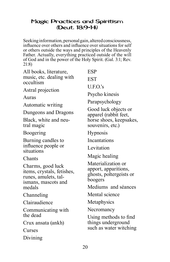# Magic Practices and Spiritism (Deut. 18:9-14)

Seeking information, personal gain, altered consciousness, influence over others and influence over situations for self or others outside the ways and principles of the Heavenly Father. Actually, everything practiced outside of the will of God and in the power of the Holy Spirit. (Gal. 3:1; Rev. 21:8)

| All books, literature,<br>music, etc. dealing with<br>occultism<br>Astral projection<br>Auras<br>Automatic writing<br>Dungeons and Dragons | <b>ESP</b><br><b>EST</b><br>U.F.O.'s<br>Psycho kinesis<br>Parapsychology<br>Good luck objects or |
|--------------------------------------------------------------------------------------------------------------------------------------------|--------------------------------------------------------------------------------------------------|
| Black, white and neu-<br>tral magic                                                                                                        | apparel (rabbit feet,<br>horse shoes, keepsakes,<br>souvenirs, etc.)                             |
| Boogering                                                                                                                                  | <b>Hypnosis</b>                                                                                  |
| Burning candles to                                                                                                                         | Incantations                                                                                     |
| influence people or<br>situations                                                                                                          | Levitation                                                                                       |
| Chants                                                                                                                                     | Magic healing                                                                                    |
| Charms, good luck<br>items, crystals, fetishes,<br>runes, amulets, tal-<br>ismans, mascots and                                             | Materialization or<br>apport, apparitions,<br>ghosts, poltergeists or<br>boogers                 |
| medals                                                                                                                                     | Mediums and séances                                                                              |
| Channeling                                                                                                                                 | Mental science                                                                                   |
| Clairaudience                                                                                                                              | Metaphysics                                                                                      |
| Communicating with<br>the dead                                                                                                             | Necromancy                                                                                       |
| Crux ansata (ankh)<br>Curses                                                                                                               | Using methods to find<br>things underground<br>such as water witching                            |
| Divining                                                                                                                                   |                                                                                                  |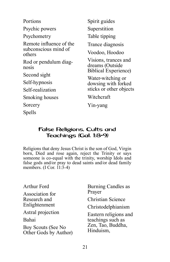Portions Psychic powers Psychometry Remote influence of the subconscious mind of others Rod or pendulum diagnosis Second sight Self-hypnosis Self-realization Smoking houses **Sorcery** Spells Spirit guides Superstition Table tipping Trance diagnosis Voodoo, Hoodoo Visions, trances and dreams (Outside Biblical Experience) Water-witching or dowsing with forked sticks or other objects Witchcraft Yin-yang

#### False Religions, Cults and Teachings (Gal. 1:8-9)

Religions that deny Jesus Christ is the son of God, Virgin born, Died and rose again, reject the Trinity or says someone is co-equal with the trinity, worship Idols and false gods and/or pray to dead saints and/or dead family members.  $(I \text{Cor. } \hat{1}1:\hat{3} - 4)$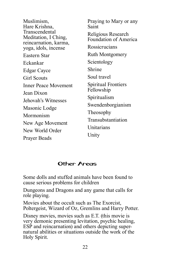Muslimism, Hare Krishna, Transcendental Meditation, I Ching, reincarnation, karma, yoga, idols, incense Eastern Star Eckankar Edgar Cayce Girl Scouts Inner Peace Movement Jean Dixon Jehovah's Witnesses Masonic Lodge Mormonism New Age Movement New World Order Prayer Beads

Praying to Mary or any Saint Religious Research Foundation of America **Rossicrucians** Ruth Montgomery Scientology Shrine Soul travel Spiritual Frontiers Fellowship Spiritualism Swendenborgianism Theosophy Transubstantiation **Unitarians** Unity

### Other Areas

Some dolls and stuffed animals have been found to cause serious problems for children

Dungeons and Dragons and any game that calls for role playing.

Movies about the occult such as The Exorcist, Poltergeist, Wizard of Oz, Gremlins and Harry Potter.

Disney movies, movies such as E.T. (this movie is very demonic presenting levitation, psychic healing, ESP and reincarnation) and others depicting supernatural abilities or situations outside the work of the Holy Spirit.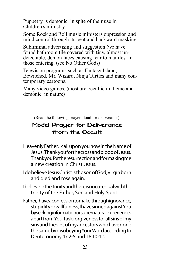Puppetry is demonic in spite of their use in Children's ministry.

Some Rock and Roll music ministers oppression and mind control through its beat and backward masking.

Subliminal advertising and suggestion (we have found bathroom tile covered with tiny, almost undetectable, demon faces causing fear to manifest in those entering. (see No Other Gods)

Television programs such as Fantasy Island, Bewitched, Mr. Wizard, Ninja Turtles and many contemporary cartoons.

Many video games. (most are occultic in theme and demonic in nature)

(Read the following prayer aloud for deliverance).

# Model Prayer for Deliverance from the Occult

- Heavenly Father, I call upon you now in the Name of Jesus. Thank you for the cross and blood of Jesus. Thank you for the resurrection and for making me a new creation in Christ Jesus.
- I do believe Jesus Christ is the son of God, virgin born and died and rose again.
- Ibelieve in the Trinity and there is no co-equal with the trinity of the Father, Son and Holy Spirit.
- Father, I have a confession to make: through ignorance, stupidity or willfulness, I have sinned against You by seeking information or supernatural experiences apart from You. I ask forgiveness for all sins of my sins and the sins of my ancestors who have done the same by disobeying Your Word according to Deuteronomy 17:2-5 and 18:10-12.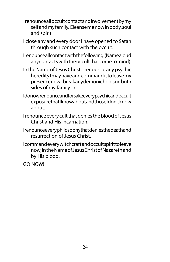- I renounce all occult contact and involvement by my self and my family. Cleanse me now in body, soul and spirit.
- I close any and every door I have opened to Satan through such contact with the occult.
- Irenounce all contact with the following: (Name aloud any contacts with the occult that come to mind).
- In the Name of Jesus Christ, I renounce any psychic heredity I may have and command it to leave my presence now. I break any demonic holds on both sides of my family line.
- I do now renounce and for sake every psychic and occult exposure that I know about and those I don't know about.
- I renounce every cult that denies the blood of Jesus Christ and His incarnation.
- Irenounce every philosophy that denies the death and resurrection of Jesus Christ.
- I command every witchcraft and occult spirit to leave now, in the Name of Jesus Christ of Nazareth and by His blood.

GO NOW!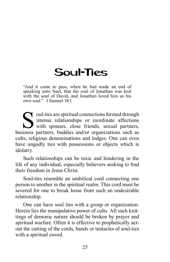# <span id="page-28-0"></span>Soul-Ties

"And it came to pass, when he had made an end of speaking unto Saul, that the soul of Jonathan was knit with the soul of David, and Jonathan loved him as his own soul." I Samuel 18:1

oul-ties are spiritual connections formed through intense relationships or inordinate affections with spouses, close friends, sexual partners, business partners, buddies and/or organizations such as cults, religious denominations and lodges. One can even have ungodly ties with possessions or objects which is idolatry.

Such relationships can be toxic and hindering in the life of any individual, especially believers seeking to find their freedom in Jesus Christ.

Soul-ties resemble an umbilical cord connecting one person to another in the spiritual realm. This cord must be severed for one to break loose from such an undesirable relationship.

One can have soul ties with a group or organization. Herein lies the manipulative power of cults. All such knittings of demonic nature should be broken by prayer and spiritual warfare. Often it is effective to prophetically actout the cutting of the cords, bands or tentacles of soul-ties with a spiritual sword.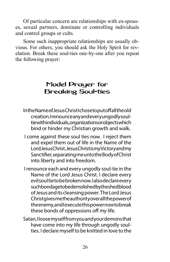Of particular concern are relationships with ex-spouses, sexual partners, dominate or controlling individuals and control groups or cults.

Some such inappropriate relationships are usually obvious. For others, you should ask the Holy Spirit for revelation. Break these soul-ties one-by-one after you repeat the following prayer:

# Model Prayer for Breaking Soul-ties

- In the Name of Jesus Christ I chose to put of fall the old creation. I renounce any and every ungodly soultie with individuals, organizations or objects which bind or hinder my Christian growth and walk.
- I come against these soul ties now. I reject them and expel them out of life in the Name of the Lord Jesus Christ. Jesus Christ is my Victory and my Sanctifier, separating me unto the Body of Christ into liberty and into freedom.
- I renounce each and every ungodly soul-tie in the Name of the Lord Jesus Christ. I declare every evil soul tie to be broken now. I also declare every such bondage to be demolished by the shed blood of Jesus and its cleansing power. The Lord Jesus Christ gives me the authority over all the power of the enemy, and lexecute this power now to break these bonds of oppressions off my life.
- Satan, I loose myself from you and your demons that have come into my life through ungodly soulties. I declare myself to be knitted in love to the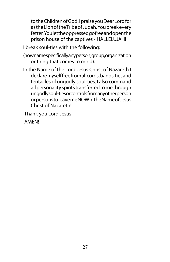to the Children of God. I praise you Dear Lord for as the Lion of the Tribe of Judah. You break every fetter. You let the oppressed gofree and open the prison house of the captives - HALLELUJAH!

I break soul-ties with the following:

- (now name specifically any person, group, or ganization or thing that comes to mind).
- In the Name of the Lord Jesus Christ of Nazareth I declare myselffree from all cords, bands, ties and tentacles of ungodly soul-ties. I also command all personality spirits transferred to me through ungodly soul-ties or controls from any other person or persons to leave me NOW in the Name of Jesus Christ of Nazareth!

Thank you Lord Jesus.

AMEN!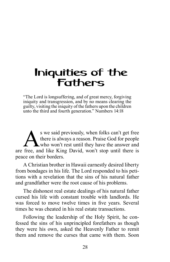# <span id="page-31-0"></span>Iniquities of the Fathers

"The Lord is longsuffering, and of great mercy, forgiving iniquity and transgression, and by no means clearing the guilty, visiting the iniquity of the fathers upon the children unto the third and fourth generation." Numbers 14:18

S we said previously, when folks can't get free<br>there is always a reason. Praise God for people<br>who won't rest until they have the answer and<br>free, and like King David, won't stop until there is there is always a reason. Praise God for people **L** who won't rest until they have the answer and are free, and like King David, won't stop until there is peace on their borders.

A Christian brother in Hawaii earnestly desired liberty from bondages in his life. The Lord responded to his petitions with a revelation that the sins of his natural father and grandfather were the root cause of his problems.

The dishonest real estate dealings of his natural father cursed his life with constant trouble with landlords. He was forced to move twelve times in five years. Several times he was cheated in his real estate transactions.

Following the leadership of the Holy Spirit, he confessed the sins of his unprincipled forefathers as though they were his own, asked the Heavenly Father to remit them and remove the curses that came with them. Soon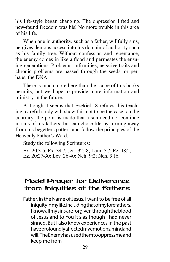his life-style began changing. The oppression lifted and new-found freedom was his! No more trouble in this area of his life.

When one in authority, such as a father, willfully sins, he gives demons access into his domain of authority such as his family tree. Without confession and repentance, the enemy comes in like a flood and permeates the ensuing generations. Problems, infirmities, negative traits and chronic problems are passed through the seeds, or perhaps, the DNA.

There is much more here than the scope of this books permits, but we hope to provide more information and ministry in the future.

Although it seems that Ezekiel 18 refutes this teaching, careful study will show this not to be the case; on the contrary, the point is made that a son need not continue in sins of his fathers, but can chose life by turning away from his begetters patters and follow the principles of the Heavenly Father's Word.

Study the following Scriptures:

Ex. 20:3-5; Ex. 34:7; Jer. 32:18; Lam. 5:7; Ez. 18:2; Ez. 20:27-30; Lev. 26:40; Neh. 9:2; Neh. 9:16.

# Model Prayer for Deliverance from Iniquities of the Fathers

Father, in the Name of Jesus, I want to be free of all iniquity in my life, including that of my forefathers. I know all my sins are forgiven through the blood of Jesus and to You it's as though I had never sinned. But I also know experiences in the past have profoundly affected my emotions, mind and will. The Enemy has used them to oppress me and keep me from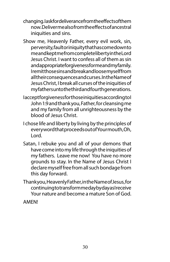- changing. lask for deliverance from the effects of them now. Deliver me also from the effects of ancestral iniquities and sins.
- Show me, Heavenly Father, every evil work, sin, perversity, fault or iniquity that has comedown to me and kept me from complete liberty in the Lord Jesus Christ. I want to confess all of them as sin and appropriate for giveness for meand my family. I remit those sins and break and loose myself from all their consequences and curses. In the Name of Jesus Christ, I break all curses of the iniquities of my fathers unto the third and fourth generations.
- Iacceptforgiveness for those iniquities according to I John 1:9 and thank you, Father, for cleansing me and my family from all unrighteousness by the blood of Jesus Christ.
- I chose life and liberty by living by the principles of every word that proceeds out of Your mouth, Oh, Lord.
- Satan, I rebuke you and all of your demons that have come into my life through the iniquities of my fathers. Leave me now! You have no more grounds to stay. In the Name of Jesus Christ I declare myself free from all such bondage from this day forward.
- Thank you, Heavenly Father, in the Name of Jesus, for continuing to transform me day by day as I receive Your nature and become a mature Son of God.

AMEN!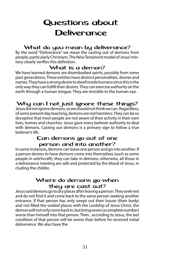# <span id="page-34-0"></span>Questions about **Deliverance**

#### What do you mean by deliverance?

By the word "Deliverance" we mean the casting out of demons from people, particularly Christians. The New Testament model of Jesus' ministry clearly verifies this definition.

#### What is a demon?

We have learned demons are disembodied spirits, possibly from some past generations. These entities have distinct personalities, desires and names. They have a strong desire to dwell inside humans since this is the only way they can fulfill their desires. They can exercise authority on the earth through a human tongue. They are invisible to the human eye.

# Why can I not just ignore these things?

Jesus did not ignore demons, so we should not think we can. Regardless, of some present day teaching, demons are not harmless. They can be so deceptive that most people are not aware of their activity in their own lives, homes and churches. Jesus gave every believer authority to deal with demons. Casting out demons is a primary sign to follow a true believer's life.

### Can demons go out of one person and into another?

In some instances, demons can leave one person and go into another. If a person desires to have demons come into themselves (such as some people in witchcraft), they can take in demons; otherwise, all those in a deliverance meeting are safe and protected by the blood of Jesus, in cluding the childre.

### Where do demons go when they are cast out?

Jesus said demons go to dry places after leaving a person. They seek rest and do not find it and come back to the same person seeking another entrance. If that person has only swept out their house (their body) and not filled the voided places with the Lordship of Jesus Christ, the demon will not only come back in, but bring seven (a complete number) worse than himself into that person. Then , according to Jesus, the last condition of that person will be worse than before he received initial deliverance. We also have the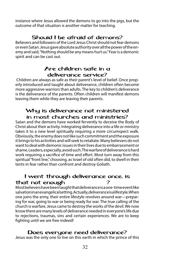instance where Jesus allowed the demons to go into the pigs, but the outcome of that situation is another matter for teaching.

#### Shouid I be afraid of demons?

Believers and followers of the Lord Jesus Christ should not fear demons or even Satan. Jesus gave absolute authority over all the power of the enemy and said, "Nothing should be any means hurt us." Fear is a demonic spirit and can be cast out.

### Are children safe in a deliverance service?

 Children are always as safe as their parent's level of belief. Once properly introduced and taught about deliverance, children often become more aggressive warriors than adults. The key to children's deliverance is the deliverance of the parents. Often children will manifest demons leaving them while they are leaving their parents.

#### Why is deliverance not ministered in most churches and ministries?

Satan and the demons have worked fervently to deceive the Body of Christ about their activity. Integrating deliverance into a life or ministry takes it to a new level spiritually requiring a more circumspect walk. Obviously, the enemy does not like such commitment and the exposure it brings to his activities and will seek to retaliate. Many believers do not want to deal with demonic issues in their lives due to embarrassment or shame. Leaders, especially, avoid such. The warfare of deliverance is hard work requiring a sacrifice of time and effort. Most turn away from this spiritual "front line," choosing, as Israel of old often did, to dwell in their tents in fear rather than confront and destroy Goliath.

#### I went through deliverance once, is that not enough that ?

Most believers have been taught that deliverance is a one-time event like salvation in an evangelical setting. Actually, deliverance is a lifestyle. When one joins the army, their entire lifestyle revolves around war—preparing for war, going to war or being ready for war. The true calling of the church is warfare. Jesus came to destroy the works of the devil. We now know there are many levels of deliverance needed in everyone's life due to rejections, traumas, sins and certain experiences. We are to keep fighting until we are free indeed!

#### Does everyone need deliverance?

Jesus was the only one to live on this earth in which the prince of this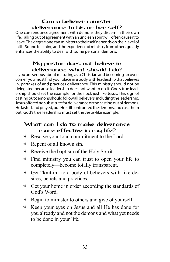# Can a believer minister deliverance to his or her self?

One can renounce agreement with demons they discern in their own life. Falling out of agreement with an unclean spirit will often cause it to leave. The degree one can minister to their self depends on their level of faith. Sound teaching and the experience of ministry from others greatly enhances the ability to deal with some personal demons.

# My pastor does not believe in deliverance, what should I do?

If you are serious about maturing as a Christian and becoming an overcomer, you must find your place in a body with leadership that believes in, partakes of and practices deliverance. This ministry should not be delegated because leadership does not want to do it. God's true leadership should set the example for the flock just like Jesus. This sign of casting out demons should follow all believers, including the leadership. Jesus offered no substitute for deliverance or the casting out of demons. He fasted and prayed, but He still confronted the demons and cast them out. God's true leadership must set the Jesus-like example.

### What can I do to make deliverance more effective in my life?

- $\sqrt{\phantom{a}}$  Resolve your total commitment to the Lord.
- $\sqrt{\phantom{a}}$  Repent of all known sin.
- $\sqrt{\phantom{a}}$  Receive the baptism of the Holy Spirit.
- $\sqrt{\ }$  Find ministry you can trust to open your life to completely—become totally transparent.
- $\sqrt{\phantom{a}}$  Get "knit-in" to a body of believers with like desires, beliefs and practices.
- $\sqrt{\phantom{a}}$  Get your home in order according the standards of God's Word.
- $\sqrt{\phantom{a}}$  Begin to minister to others and give of yourself.
- $\sqrt{\ }$  Keep your eyes on Jesus and all He has done for you already and not the demons and what yet needs to be done in your life.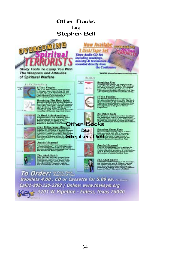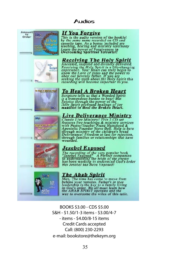### Audios



Credit Cards accepted Call: (800) 230-2293 e-mail: bookstore@thekeym.org